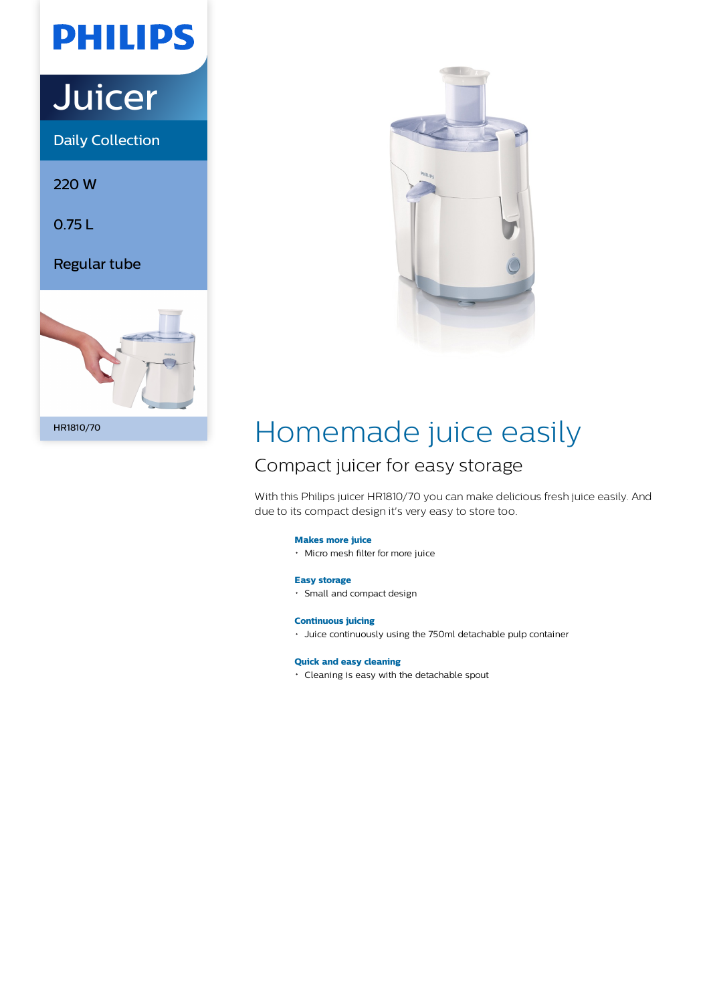## **PHILIPS**

# **Juicer**

Daily Collection

220 W

0.75 L

Regular tube





## Homemade juice easily

## Compact juicer for easy storage

With this Philips juicer HR1810/70 you can make delicious fresh juice easily. And due to its compact design it's very easy to store too.

## **Makes more juice**

Micro mesh filter for more juice

## **Easy storage**

Small and compact design

## **Continuous juicing**

Juice continuously using the 750ml detachable pulp container

## **Quick and easy cleaning**

Cleaning is easy with the detachable spout